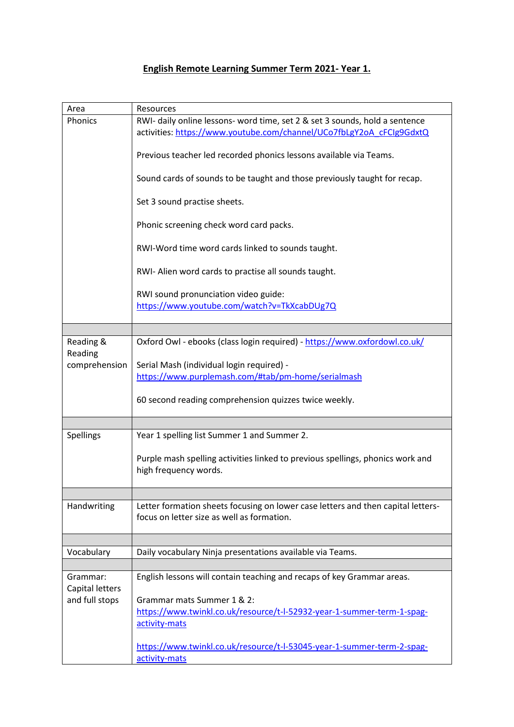## **English Remote Learning Summer Term 2021- Year 1.**

| Area            | Resources                                                                                                                                           |
|-----------------|-----------------------------------------------------------------------------------------------------------------------------------------------------|
| Phonics         | RWI- daily online lessons- word time, set 2 & set 3 sounds, hold a sentence<br>activities: https://www.youtube.com/channel/UCo7fbLgY2oA_cFCIg9GdxtQ |
|                 | Previous teacher led recorded phonics lessons available via Teams.                                                                                  |
|                 |                                                                                                                                                     |
|                 | Sound cards of sounds to be taught and those previously taught for recap.                                                                           |
|                 | Set 3 sound practise sheets.                                                                                                                        |
|                 | Phonic screening check word card packs.                                                                                                             |
|                 | RWI-Word time word cards linked to sounds taught.                                                                                                   |
|                 | RWI- Alien word cards to practise all sounds taught.                                                                                                |
|                 | RWI sound pronunciation video guide:                                                                                                                |
|                 | https://www.youtube.com/watch?v=TkXcabDUg7Q                                                                                                         |
|                 |                                                                                                                                                     |
| Reading &       | Oxford Owl - ebooks (class login required) - https://www.oxfordowl.co.uk/                                                                           |
| Reading         |                                                                                                                                                     |
| comprehension   | Serial Mash (individual login required) -<br>https://www.purplemash.com/#tab/pm-home/serialmash                                                     |
|                 |                                                                                                                                                     |
|                 | 60 second reading comprehension quizzes twice weekly.                                                                                               |
|                 |                                                                                                                                                     |
| Spellings       | Year 1 spelling list Summer 1 and Summer 2.                                                                                                         |
|                 | Purple mash spelling activities linked to previous spellings, phonics work and                                                                      |
|                 | high frequency words.                                                                                                                               |
|                 |                                                                                                                                                     |
| Handwriting     | Letter formation sheets focusing on lower case letters and then capital letters-                                                                    |
|                 | focus on letter size as well as formation.                                                                                                          |
|                 |                                                                                                                                                     |
| Vocabulary      | Daily vocabulary Ninja presentations available via Teams.                                                                                           |
|                 |                                                                                                                                                     |
| Grammar:        | English lessons will contain teaching and recaps of key Grammar areas.                                                                              |
| Capital letters |                                                                                                                                                     |
| and full stops  | Grammar mats Summer 1 & 2:<br>https://www.twinkl.co.uk/resource/t-l-52932-year-1-summer-term-1-spag-                                                |
|                 | activity-mats                                                                                                                                       |
|                 |                                                                                                                                                     |
|                 | https://www.twinkl.co.uk/resource/t-l-53045-year-1-summer-term-2-spag-                                                                              |
|                 | activity-mats                                                                                                                                       |